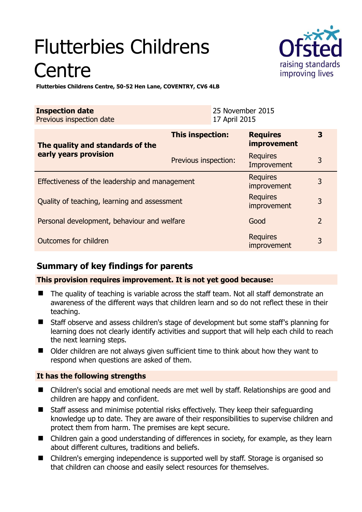# Flutterbies Childrens **Centre**



**Flutterbies Childrens Centre, 50-52 Hen Lane, COVENTRY, CV6 4LB** 

| <b>Inspection date</b><br>Previous inspection date        |                         | 25 November 2015<br>17 April 2015 |                                       |                |
|-----------------------------------------------------------|-------------------------|-----------------------------------|---------------------------------------|----------------|
| The quality and standards of the<br>early years provision | <b>This inspection:</b> |                                   | <b>Requires</b><br><i>improvement</i> | 3              |
|                                                           | Previous inspection:    |                                   | <b>Requires</b><br>Improvement        | 3              |
| Effectiveness of the leadership and management            |                         |                                   | <b>Requires</b><br>improvement        | 3              |
| Quality of teaching, learning and assessment              |                         |                                   | <b>Requires</b><br>improvement        | 3              |
| Personal development, behaviour and welfare               |                         |                                   | Good                                  | $\overline{2}$ |
| Outcomes for children                                     |                         |                                   | <b>Requires</b><br>improvement        | 3              |

## **Summary of key findings for parents**

#### **This provision requires improvement. It is not yet good because:**

- The quality of teaching is variable across the staff team. Not all staff demonstrate an awareness of the different ways that children learn and so do not reflect these in their teaching.
- Staff observe and assess children's stage of development but some staff's planning for learning does not clearly identify activities and support that will help each child to reach the next learning steps.
- Older children are not always given sufficient time to think about how they want to respond when questions are asked of them.

#### **It has the following strengths**

- Children's social and emotional needs are met well by staff. Relationships are good and children are happy and confident.
- Staff assess and minimise potential risks effectively. They keep their safeguarding knowledge up to date. They are aware of their responsibilities to supervise children and protect them from harm. The premises are kept secure.
- Children gain a good understanding of differences in society, for example, as they learn about different cultures, traditions and beliefs.
- Children's emerging independence is supported well by staff. Storage is organised so that children can choose and easily select resources for themselves.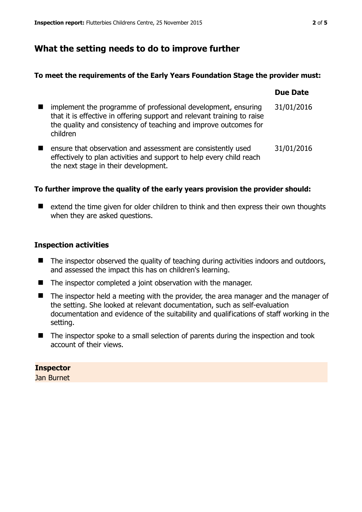# **What the setting needs to do to improve further**

#### **To meet the requirements of the Early Years Foundation Stage the provider must:**

|                |                                                                                                                                                                                                                          | <b>Due Date</b> |
|----------------|--------------------------------------------------------------------------------------------------------------------------------------------------------------------------------------------------------------------------|-----------------|
|                | implement the programme of professional development, ensuring<br>that it is effective in offering support and relevant training to raise<br>the quality and consistency of teaching and improve outcomes for<br>children | 31/01/2016      |
| $\blacksquare$ | ensure that observation and assessment are consistently used<br>effectively to plan activities and support to help every child reach<br>the next stage in their development.                                             | 31/01/2016      |

#### **To further improve the quality of the early years provision the provider should:**

■ extend the time given for older children to think and then express their own thoughts when they are asked questions.

#### **Inspection activities**

- The inspector observed the quality of teaching during activities indoors and outdoors, and assessed the impact this has on children's learning.
- The inspector completed a joint observation with the manager.
- The inspector held a meeting with the provider, the area manager and the manager of the setting. She looked at relevant documentation, such as self-evaluation documentation and evidence of the suitability and qualifications of staff working in the setting.
- $\blacksquare$  The inspector spoke to a small selection of parents during the inspection and took account of their views.

#### **Inspector**

Jan Burnet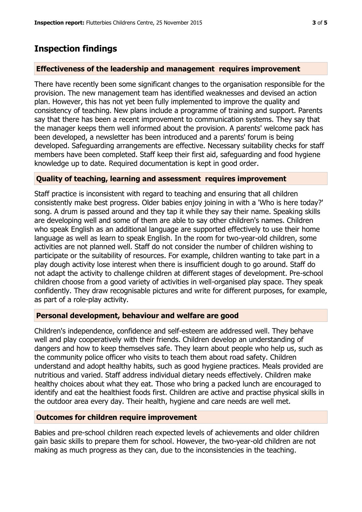# **Inspection findings**

#### **Effectiveness of the leadership and management requires improvement**

There have recently been some significant changes to the organisation responsible for the provision. The new management team has identified weaknesses and devised an action plan. However, this has not yet been fully implemented to improve the quality and consistency of teaching. New plans include a programme of training and support. Parents say that there has been a recent improvement to communication systems. They say that the manager keeps them well informed about the provision. A parents' welcome pack has been developed, a newsletter has been introduced and a parents' forum is being developed. Safeguarding arrangements are effective. Necessary suitability checks for staff members have been completed. Staff keep their first aid, safeguarding and food hygiene knowledge up to date. Required documentation is kept in good order.

#### **Quality of teaching, learning and assessment requires improvement**

Staff practice is inconsistent with regard to teaching and ensuring that all children consistently make best progress. Older babies enjoy joining in with a 'Who is here today?' song. A drum is passed around and they tap it while they say their name. Speaking skills are developing well and some of them are able to say other children's names. Children who speak English as an additional language are supported effectively to use their home language as well as learn to speak English. In the room for two-year-old children, some activities are not planned well. Staff do not consider the number of children wishing to participate or the suitability of resources. For example, children wanting to take part in a play dough activity lose interest when there is insufficient dough to go around. Staff do not adapt the activity to challenge children at different stages of development. Pre-school children choose from a good variety of activities in well-organised play space. They speak confidently. They draw recognisable pictures and write for different purposes, for example, as part of a role-play activity.

#### **Personal development, behaviour and welfare are good**

Children's independence, confidence and self-esteem are addressed well. They behave well and play cooperatively with their friends. Children develop an understanding of dangers and how to keep themselves safe. They learn about people who help us, such as the community police officer who visits to teach them about road safety. Children understand and adopt healthy habits, such as good hygiene practices. Meals provided are nutritious and varied. Staff address individual dietary needs effectively. Children make healthy choices about what they eat. Those who bring a packed lunch are encouraged to identify and eat the healthiest foods first. Children are active and practise physical skills in the outdoor area every day. Their health, hygiene and care needs are well met.

#### **Outcomes for children require improvement**

Babies and pre-school children reach expected levels of achievements and older children gain basic skills to prepare them for school. However, the two-year-old children are not making as much progress as they can, due to the inconsistencies in the teaching.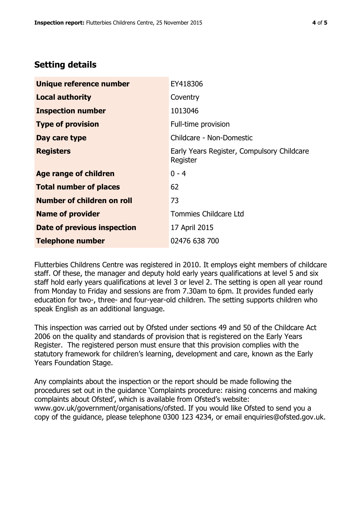# **Setting details**

| Unique reference number           | EY418306                                               |
|-----------------------------------|--------------------------------------------------------|
| <b>Local authority</b>            | Coventry                                               |
| <b>Inspection number</b>          | 1013046                                                |
| <b>Type of provision</b>          | Full-time provision                                    |
| Day care type                     | Childcare - Non-Domestic                               |
| <b>Registers</b>                  | Early Years Register, Compulsory Childcare<br>Register |
| <b>Age range of children</b>      | $0 - 4$                                                |
| <b>Total number of places</b>     | 62                                                     |
| <b>Number of children on roll</b> | 73                                                     |
| <b>Name of provider</b>           | Tommies Childcare Ltd                                  |
| Date of previous inspection       | 17 April 2015                                          |
| <b>Telephone number</b>           | 02476 638 700                                          |

Flutterbies Childrens Centre was registered in 2010. It employs eight members of childcare staff. Of these, the manager and deputy hold early years qualifications at level 5 and six staff hold early years qualifications at level 3 or level 2. The setting is open all year round from Monday to Friday and sessions are from 7.30am to 6pm. It provides funded early education for two-, three- and four-year-old children. The setting supports children who speak English as an additional language.

This inspection was carried out by Ofsted under sections 49 and 50 of the Childcare Act 2006 on the quality and standards of provision that is registered on the Early Years Register. The registered person must ensure that this provision complies with the statutory framework for children's learning, development and care, known as the Early Years Foundation Stage.

Any complaints about the inspection or the report should be made following the procedures set out in the guidance 'Complaints procedure: raising concerns and making complaints about Ofsted', which is available from Ofsted's website: www.gov.uk/government/organisations/ofsted. If you would like Ofsted to send you a copy of the guidance, please telephone 0300 123 4234, or email enquiries@ofsted.gov.uk.